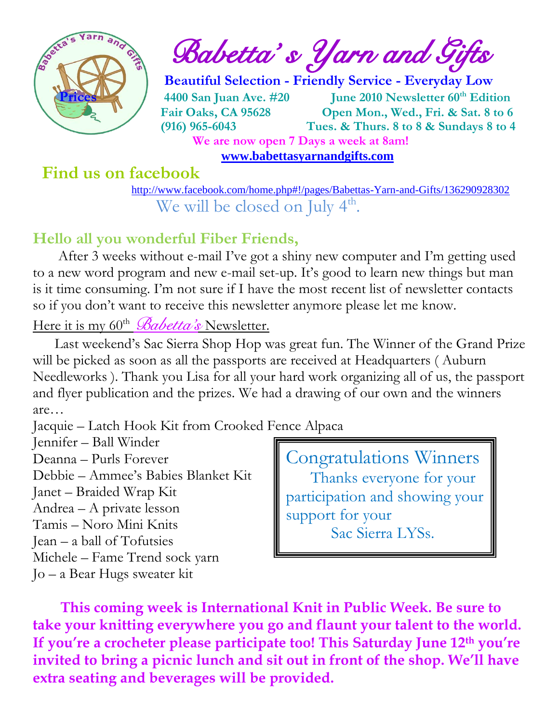

 $\int_{a}^{\frac{1}{2}} \mathbb{E} \left\{ \int_{a}^{a} d\mathbf{r} \right\}$  Babetta's Yarn and Gifts

 **Beautiful Selection - Friendly Service - Everyday Low Prices 4400 San Juan Ave. #20 June 2010 Newsletter 60th Edition Fair Oaks, CA 95628 Open Mon., Wed., Fri. & Sat. 8 to 6 (916) 965-6043 Tues. & Thurs. 8 to 8 & Sundays 8 to 4 We are now open 7 Days a week at 8am!** 

 **[www.babettasyarnandgifts.com](http://www.babettasyarnandgifts.com/)**

# **Find us on facebook**

 <http://www.facebook.com/home.php#!/pages/Babettas-Yarn-and-Gifts/136290928302> We will be closed on July 4<sup>th</sup>.

# **Hello all you wonderful Fiber Friends,**

 After 3 weeks without e-mail I've got a shiny new computer and I'm getting used to a new word program and new e-mail set-up. It's good to learn new things but man is it time consuming. I'm not sure if I have the most recent list of newsletter contacts so if you don't want to receive this newsletter anymore please let me know.

## Here it is my 60<sup>th</sup> *Babetta's* Newsletter.

 Last weekend's Sac Sierra Shop Hop was great fun. The Winner of the Grand Prize will be picked as soon as all the passports are received at Headquarters (Auburn Needleworks ). Thank you Lisa for all your hard work organizing all of us, the passport and flyer publication and the prizes. We had a drawing of our own and the winners are…

Jacquie – Latch Hook Kit from Crooked Fence Alpaca

Jennifer – Ball Winder

Deanna – Purls Forever Debbie – Ammee's Babies Blanket Kit

Janet – Braided Wrap Kit

Andrea – A private lesson

Tamis – Noro Mini Knits Jean – a ball of Tofutsies

Michele – Fame Trend sock yarn

Jo – a Bear Hugs sweater kit

Congratulations Winners Thanks everyone for your participation and showing your support for your Sac Sierra LYSs.

 **This coming week is International Knit in Public Week. Be sure to take your knitting everywhere you go and flaunt your talent to the world. If you're a crocheter please participate too! This Saturday June 12th you're invited to bring a picnic lunch and sit out in front of the shop. We'll have extra seating and beverages will be provided.**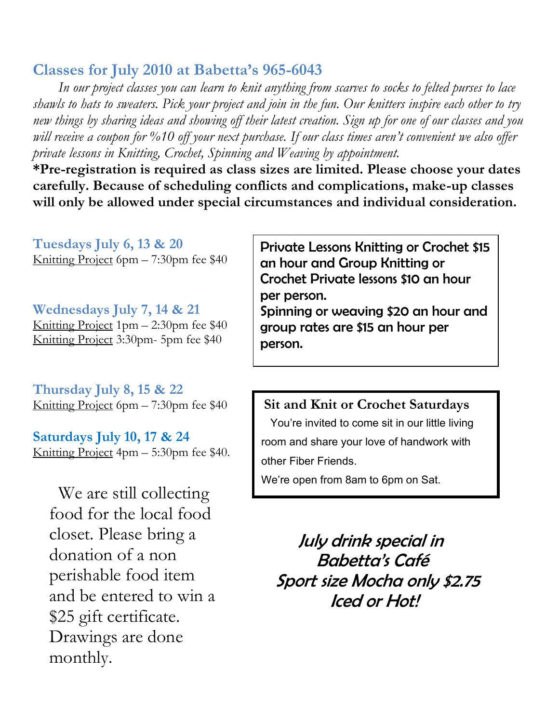## **Classes for July 2010 at Babetta's 965-6043**

 *In our project classes you can learn to knit anything from scarves to socks to felted purses to lace shawls to hats to sweaters. Pick your project and join in the fun. Our knitters inspire each other to try new things by sharing ideas and showing off their latest creation. Sign up for one of our classes and you will receive a coupon for %10 off your next purchase. If our class times aren't convenient we also offer private lessons in Knitting, Crochet, Spinning and Weaving by appointment.*

**\*Pre-registration is required as class sizes are limited. Please choose your dates carefully. Because of scheduling conflicts and complications, make-up classes will only be allowed under special circumstances and individual consideration.**

**Tuesdays July 6, 13 & 20** Knitting Project 6pm – 7:30pm fee \$40

**Wednesdays July 7, 14 & 21** Knitting Project 1pm – 2:30pm fee \$40 Knitting Project 3:30pm- 5pm fee \$40

**Thursday July 8, 15 & 22** Knitting Project 6pm – 7:30pm fee \$40

**Saturdays July 10, 17 & 24** Knitting Project 4pm – 5:30pm fee \$40.

 We are still collecting food for the local food closet. Please bring a donation of a non perishable food item and be entered to win a \$25 gift certificate. Drawings are done monthly.

Private Lessons Knitting or Crochet \$15 an hour and Group Knitting or Crochet Private lessons \$10 an hour per person.

Spinning or weaving \$20 an hour and group rates are \$15 an hour per person.

#### **Sit and Knit or Crochet Saturdays**

 You're invited to come sit in our little living room and share your love of handwork with other Fiber Friends.

We're open from 8am to 6pm on Sat.

 July drink special in Babetta's Café Sport size Mocha only \$2.75 Iced or Hot!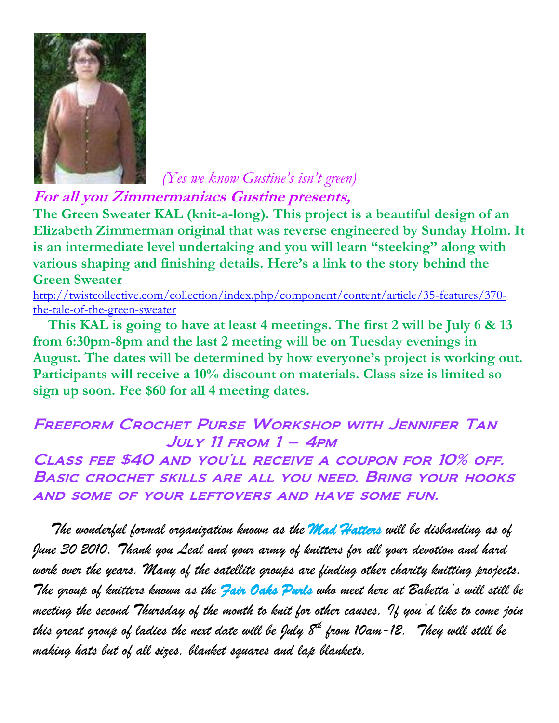

 *(Yes we know Gustine's isn't green)*

**For all you Zimmermaniacs Gustine presents,**

**The Green Sweater KAL (knit-a-long). This project is a beautiful design of an Elizabeth Zimmerman original that was reverse engineered by Sunday Holm. It is an intermediate level undertaking and you will learn "steeking" along with various shaping and finishing details. Here's a link to the story behind the Green Sweater**

[http://twistcollective.com/collection/index.php/component/content/article/35-features/370](http://twistcollective.com/collection/index.php/component/content/article/35-features/370-the-tale-of-the-green-sweater) [the-tale-of-the-green-sweater](http://twistcollective.com/collection/index.php/component/content/article/35-features/370-the-tale-of-the-green-sweater)

 **This KAL is going to have at least 4 meetings. The first 2 will be July 6 & 13 from 6:30pm-8pm and the last 2 meeting will be on Tuesday evenings in August. The dates will be determined by how everyone's project is working out. Participants will receive a 10% discount on materials. Class size is limited so sign up soon. Fee \$60 for all 4 meeting dates.**

## Freeform Crochet Purse Workshop with Jennifer Tan  $JULY$  11 FROM  $1 - 4$ PM

Class fee \$40 and you'll receive a coupon for 10% off. Basic crochet skills are all you need. Bring your hooks and some of your leftovers and have some fun.

 *The wonderful formal organization known as the Mad Hatters will be disbanding as of June 30 2010. Thank you Leal and your army of knitters for all your devotion and hard work over the years. Many of the satellite groups are finding other charity knitting projects. The group of knitters known as the Fair Oaks Purls who meet here at Babetta's will still be meeting the second Thursday of the month to knit for other causes. If you'd like to come join this great group of ladies the next date will be July 8th from 10am-12. They will still be making hats but of all sizes, blanket squares and lap blankets.*